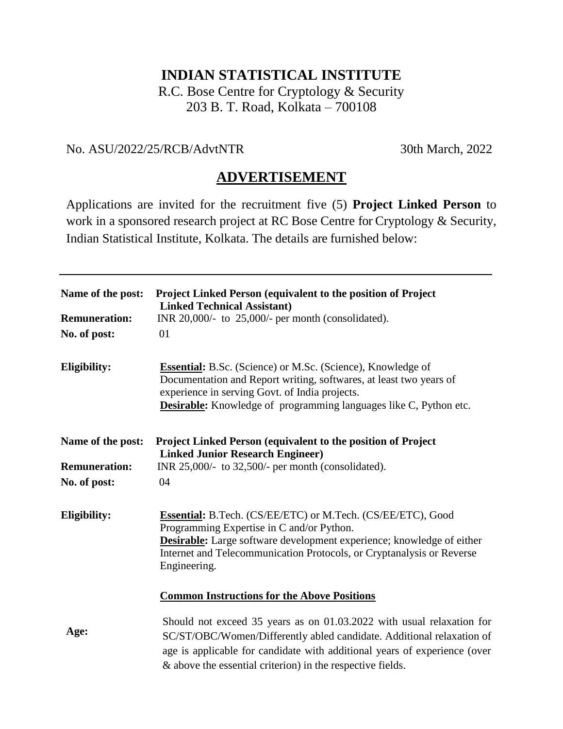# **INDIAN STATISTICAL INSTITUTE**

R.C. Bose Centre for Cryptology & Security 203 B. T. Road, Kolkata – 700108

### No. ASU/2022/25/RCB/AdvtNTR 30th March, 2022

# **ADVERTISEMENT**

Applications are invited for the recruitment five (5) **Project Linked Person** to work in a sponsored research project at RC Bose Centre for Cryptology & Security, Indian Statistical Institute, Kolkata. The details are furnished below:

| Name of the post:<br><b>Remuneration:</b><br>No. of post: | Project Linked Person (equivalent to the position of Project<br><b>Linked Technical Assistant)</b><br>INR 20,000/- to $25,000/$ - per month (consolidated).<br>01                                                                                                                         |
|-----------------------------------------------------------|-------------------------------------------------------------------------------------------------------------------------------------------------------------------------------------------------------------------------------------------------------------------------------------------|
| <b>Eligibility:</b>                                       | <b>Essential:</b> B.Sc. (Science) or M.Sc. (Science), Knowledge of<br>Documentation and Report writing, softwares, at least two years of<br>experience in serving Govt. of India projects.<br><b>Desirable:</b> Knowledge of programming languages like C, Python etc.                    |
| Name of the post:<br><b>Remuneration:</b><br>No. of post: | Project Linked Person (equivalent to the position of Project<br><b>Linked Junior Research Engineer)</b><br>INR 25,000/- to 32,500/- per month (consolidated).<br>04                                                                                                                       |
| Eligibility:                                              | <b>Essential:</b> B.Tech. (CS/EE/ETC) or M.Tech. (CS/EE/ETC), Good<br>Programming Expertise in C and/or Python.<br><b>Desirable:</b> Large software development experience; knowledge of either<br>Internet and Telecommunication Protocols, or Cryptanalysis or Reverse<br>Engineering.  |
|                                                           | <b>Common Instructions for the Above Positions</b>                                                                                                                                                                                                                                        |
| Age:                                                      | Should not exceed 35 years as on 01.03.2022 with usual relaxation for<br>SC/ST/OBC/Women/Differently abled candidate. Additional relaxation of<br>age is applicable for candidate with additional years of experience (over<br>& above the essential criterion) in the respective fields. |